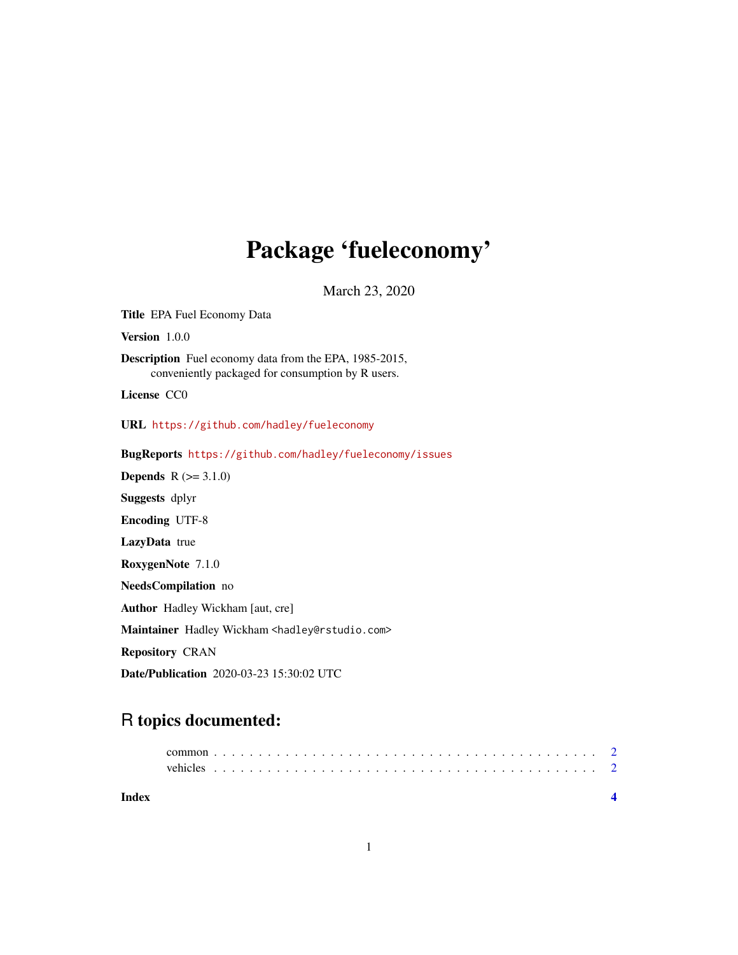## Package 'fueleconomy'

March 23, 2020

Title EPA Fuel Economy Data Version 1.0.0 Description Fuel economy data from the EPA, 1985-2015, conveniently packaged for consumption by R users. License CC0 URL <https://github.com/hadley/fueleconomy> BugReports <https://github.com/hadley/fueleconomy/issues> **Depends**  $R$  ( $>= 3.1.0$ ) Suggests dplyr Encoding UTF-8 LazyData true RoxygenNote 7.1.0 NeedsCompilation no Author Hadley Wickham [aut, cre] Maintainer Hadley Wickham <hadley@rstudio.com> Repository CRAN Date/Publication 2020-03-23 15:30:02 UTC

### R topics documented:

| Index |  |  |  |  |  |  |  |  |  |  |  |  |  |  |  |  |  |  |  |  |  |
|-------|--|--|--|--|--|--|--|--|--|--|--|--|--|--|--|--|--|--|--|--|--|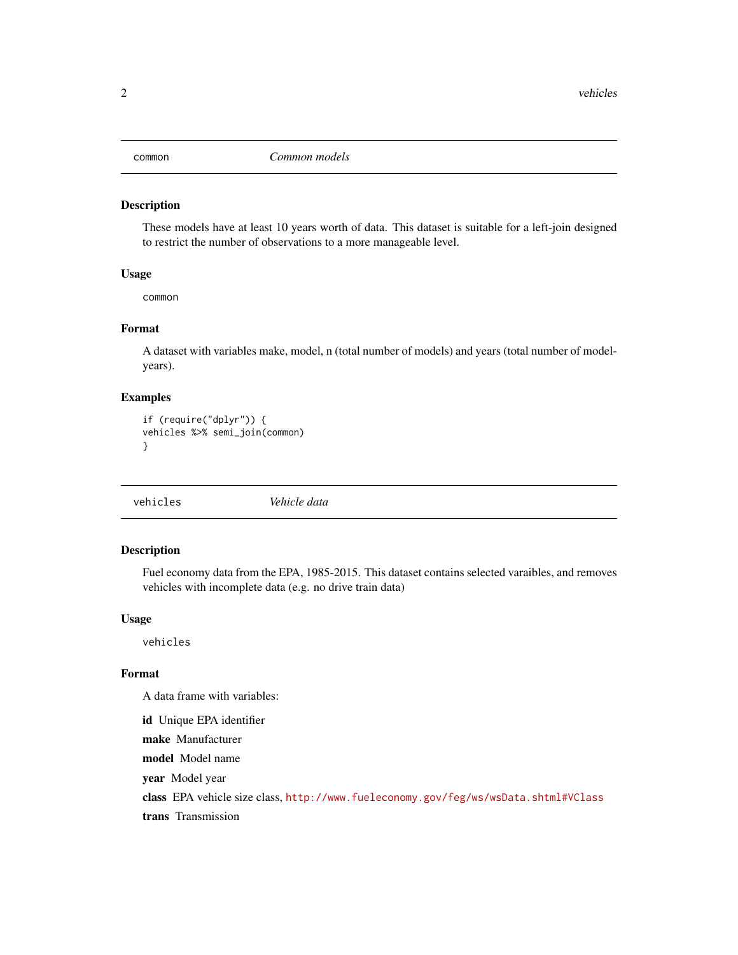<span id="page-1-0"></span>

#### Description

These models have at least 10 years worth of data. This dataset is suitable for a left-join designed to restrict the number of observations to a more manageable level.

#### Usage

common

#### Format

A dataset with variables make, model, n (total number of models) and years (total number of modelyears).

#### Examples

```
if (require("dplyr")) {
vehicles %>% semi_join(common)
}
```

| Vehicle data<br>vehicles |
|--------------------------|
|--------------------------|

#### Description

Fuel economy data from the EPA, 1985-2015. This dataset contains selected varaibles, and removes vehicles with incomplete data (e.g. no drive train data)

#### Usage

vehicles

#### Format

A data frame with variables:

id Unique EPA identifier make Manufacturer model Model name year Model year class EPA vehicle size class, <http://www.fueleconomy.gov/feg/ws/wsData.shtml#VClass> trans Transmission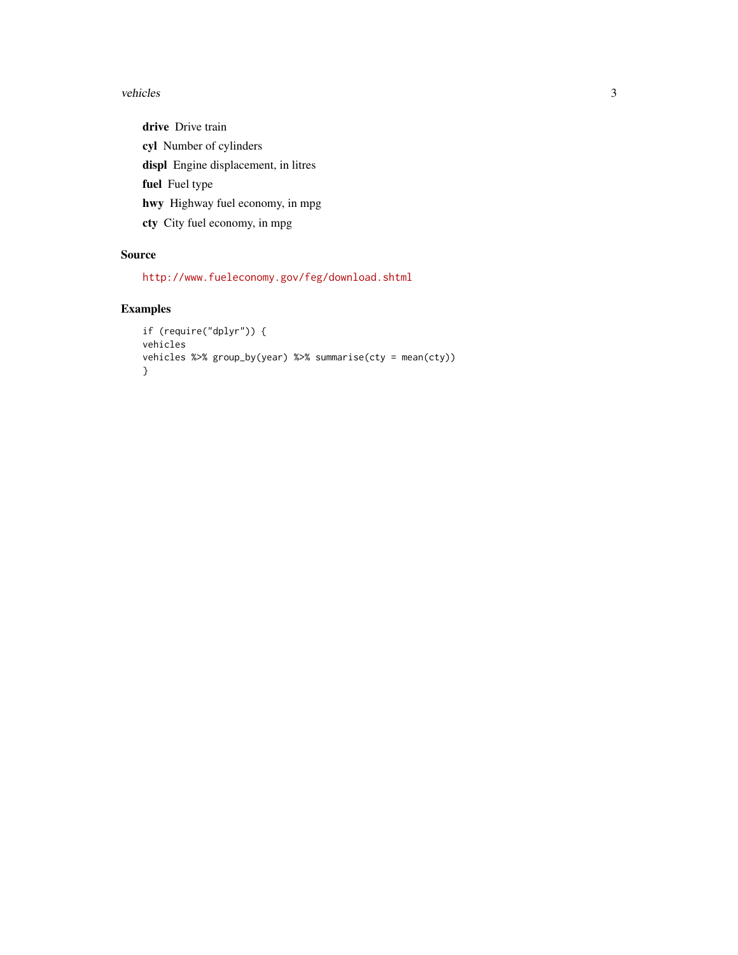#### vehicles 3

drive Drive train cyl Number of cylinders displ Engine displacement, in litres fuel Fuel type hwy Highway fuel economy, in mpg cty City fuel economy, in mpg

#### Source

<http://www.fueleconomy.gov/feg/download.shtml>

#### Examples

```
if (require("dplyr")) {
vehicles
vehicles %>% group_by(year) %>% summarise(cty = mean(cty))
}
```